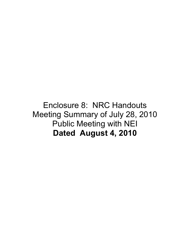#### Enclosure 8: NRC Handouts Meeting Summary of July 28, 2010 Public Meeting with NEI **Dated August 4, 2010**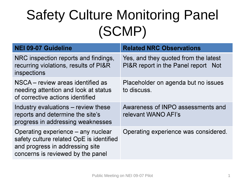## Safety Culture Monitoring Panel (SCMP)

| <b>NEI 09-07 Guideline</b>                                                                                                                             | <b>Related NRC Observations</b>                                                       |
|--------------------------------------------------------------------------------------------------------------------------------------------------------|---------------------------------------------------------------------------------------|
| NRC inspection reports and findings,<br>recurring violations, results of PI&R<br>inspections                                                           | Yes, and they quoted from the latest<br>PI&R report in the Panel report<br><b>Not</b> |
| NSCA – review areas identified as<br>needing attention and look at status<br>of corrective actions identified                                          | Placeholder on agenda but no issues<br>to discuss.                                    |
| Industry evaluations – review these<br>reports and determine the site's<br>progress in addressing weaknesses                                           | Awareness of INPO assessments and<br>relevant WANO AFI's                              |
| Operating experience – any nuclear<br>safety culture related OpE is identified<br>and progress in addressing site<br>concerns is reviewed by the panel | Operating experience was considered.                                                  |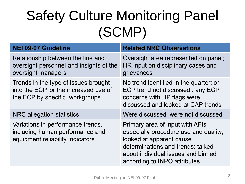## Safety Culture Monitoring Panel (SCMP)

| <b>NEI 09-07 Guideline</b>                                                                                      | <b>Related NRC Observations</b>                                                                                                                                                                                  |
|-----------------------------------------------------------------------------------------------------------------|------------------------------------------------------------------------------------------------------------------------------------------------------------------------------------------------------------------|
| Relationship between the line and<br>oversight personnel and insights of the<br>oversight managers              | Oversight area represented on panel;<br>HR input on disciplinary cases and<br>grievances                                                                                                                         |
| Trends in the type of issues brought<br>into the ECP, or the increased use of<br>the ECP by specific workgroups | No trend identified in the quarter; or<br>ECP trend not discussed; any ECP<br>concerns with HP flags were<br>discussed and looked at CAP trends                                                                  |
| NRC allegation statistics                                                                                       | Were discussed; were not discussed                                                                                                                                                                               |
| Variations in performance trends,<br>including human performance and<br>equipment reliability indicators        | Primary area of input with AFIs,<br>especially procedure use and quality;<br>looked at apparent cause<br>determinations and trends; talked<br>about individual issues and binned<br>according to INPO attributes |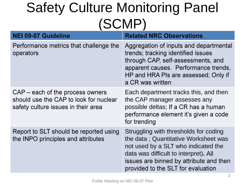### Safety Culture Monitoring Panel (SCMP)

| <b>NEI 09-07 Guideline</b>                                                                                        | <b>Related NRC Observations</b>                                                                                                                                                                                                                |
|-------------------------------------------------------------------------------------------------------------------|------------------------------------------------------------------------------------------------------------------------------------------------------------------------------------------------------------------------------------------------|
| Performance metrics that challenge the<br>operators                                                               | Aggregation of inputs and departmental<br>trends; tracking identified issues<br>through CAP, self-assessments, and<br>apparent causes. Performance trends,<br>HP and HRA PIs are assessed; Only if<br>a CR was written                         |
| CAP – each of the process owners<br>should use the CAP to look for nuclear<br>safety culture issues in their area | Each department tracks this, and then<br>the CAP manager assesses any<br>possible deltas; If a CR has a human<br>performance element it's given a code<br>for trending                                                                         |
| Report to SLT should be reported using<br>the INPO principles and attributes                                      | Struggling with thresholds for coding<br>the data; Quantitative Worksheet was<br>not used by a SLT who indicated the<br>data was difficult to interpret). All<br>issues are binned by attribute and then<br>provided to the SLT for evaluation |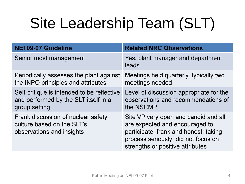# Site Leadership Team (SLT)

| <b>NEI 09-07 Guideline</b>                                                                          | <b>Related NRC Observations</b>                                                                                                                                                            |
|-----------------------------------------------------------------------------------------------------|--------------------------------------------------------------------------------------------------------------------------------------------------------------------------------------------|
| Senior most management                                                                              | Yes; plant manager and department<br>leads                                                                                                                                                 |
| Periodically assesses the plant against<br>the INPO principles and attributes                       | Meetings held quarterly, typically two<br>meetings needed                                                                                                                                  |
| Self-critique is intended to be reflective<br>and performed by the SLT itself in a<br>group setting | Level of discussion appropriate for the<br>observations and recommendations of<br>the NSCMP                                                                                                |
| Frank discussion of nuclear safety<br>culture based on the SLT's<br>observations and insights       | Site VP very open and candid and all<br>are expected and encouraged to<br>participate; frank and honest; taking<br>process seriously; did not focus on<br>strengths or positive attributes |